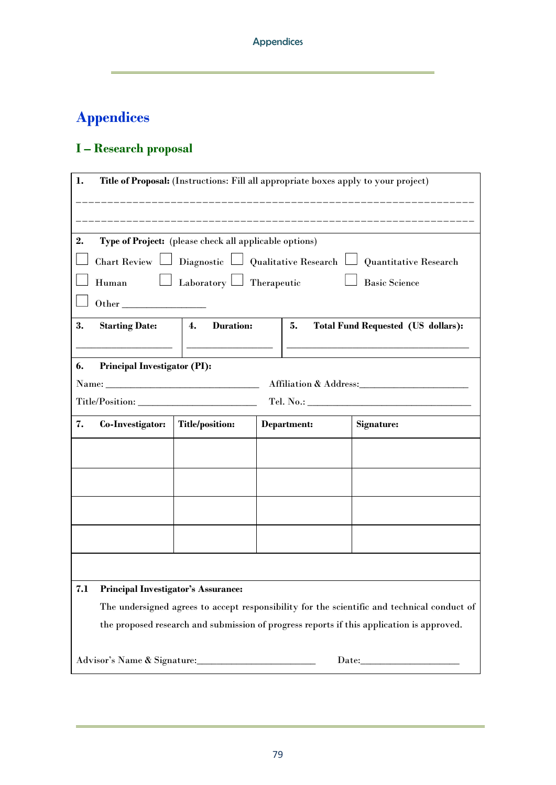## **I – Research proposal**

| 1.<br>Title of Proposal: (Instructions: Fill all appropriate boxes apply to your project)  |                                                                                                                                                                                                                                                                                                                                                 |                        |  |             |  |            |  |  |  |  |  |
|--------------------------------------------------------------------------------------------|-------------------------------------------------------------------------------------------------------------------------------------------------------------------------------------------------------------------------------------------------------------------------------------------------------------------------------------------------|------------------------|--|-------------|--|------------|--|--|--|--|--|
|                                                                                            |                                                                                                                                                                                                                                                                                                                                                 |                        |  |             |  |            |  |  |  |  |  |
| Type of Project: (please check all applicable options)<br>2.                               |                                                                                                                                                                                                                                                                                                                                                 |                        |  |             |  |            |  |  |  |  |  |
| Chart Review $\Box$ Diagnostic $\Box$ Qualitative Research $\Box$<br>Quantitative Research |                                                                                                                                                                                                                                                                                                                                                 |                        |  |             |  |            |  |  |  |  |  |
| Laboratory $\Box$ Therapeutic<br>Human<br><b>Basic Science</b>                             |                                                                                                                                                                                                                                                                                                                                                 |                        |  |             |  |            |  |  |  |  |  |
| Other                                                                                      |                                                                                                                                                                                                                                                                                                                                                 |                        |  |             |  |            |  |  |  |  |  |
| 3.                                                                                         | <b>Duration:</b><br>4.<br><b>Starting Date:</b><br>5.<br><b>Total Fund Requested (US dollars):</b>                                                                                                                                                                                                                                              |                        |  |             |  |            |  |  |  |  |  |
|                                                                                            | the control of the control of the control of the control of the control of                                                                                                                                                                                                                                                                      |                        |  |             |  |            |  |  |  |  |  |
| 6.<br><b>Principal Investigator (PI):</b>                                                  |                                                                                                                                                                                                                                                                                                                                                 |                        |  |             |  |            |  |  |  |  |  |
|                                                                                            | Name: $\frac{1}{2}$ $\frac{1}{2}$ $\frac{1}{2}$ $\frac{1}{2}$ $\frac{1}{2}$ $\frac{1}{2}$ $\frac{1}{2}$ $\frac{1}{2}$ $\frac{1}{2}$ $\frac{1}{2}$ $\frac{1}{2}$ $\frac{1}{2}$ $\frac{1}{2}$ $\frac{1}{2}$ $\frac{1}{2}$ $\frac{1}{2}$ $\frac{1}{2}$ $\frac{1}{2}$ $\frac{1}{2}$ $\frac{1}{2}$ $\frac{1}{2}$ $\frac{1$<br>Affiliation & Address: |                        |  |             |  |            |  |  |  |  |  |
|                                                                                            | Title/Position:<br>Tel. No.:                                                                                                                                                                                                                                                                                                                    |                        |  |             |  |            |  |  |  |  |  |
| 7.                                                                                         | Co-Investigator:                                                                                                                                                                                                                                                                                                                                | <b>Title/position:</b> |  | Department: |  | Signature: |  |  |  |  |  |
|                                                                                            |                                                                                                                                                                                                                                                                                                                                                 |                        |  |             |  |            |  |  |  |  |  |
|                                                                                            |                                                                                                                                                                                                                                                                                                                                                 |                        |  |             |  |            |  |  |  |  |  |
|                                                                                            |                                                                                                                                                                                                                                                                                                                                                 |                        |  |             |  |            |  |  |  |  |  |
|                                                                                            |                                                                                                                                                                                                                                                                                                                                                 |                        |  |             |  |            |  |  |  |  |  |
|                                                                                            |                                                                                                                                                                                                                                                                                                                                                 |                        |  |             |  |            |  |  |  |  |  |
| 7.1                                                                                        | <b>Principal Investigator's Assurance:</b>                                                                                                                                                                                                                                                                                                      |                        |  |             |  |            |  |  |  |  |  |
|                                                                                            | The undersigned agrees to accept responsibility for the scientific and technical conduct of                                                                                                                                                                                                                                                     |                        |  |             |  |            |  |  |  |  |  |
| the proposed research and submission of progress reports if this application is approved.  |                                                                                                                                                                                                                                                                                                                                                 |                        |  |             |  |            |  |  |  |  |  |
|                                                                                            | Advisor's Name & Signature:                                                                                                                                                                                                                                                                                                                     |                        |  |             |  |            |  |  |  |  |  |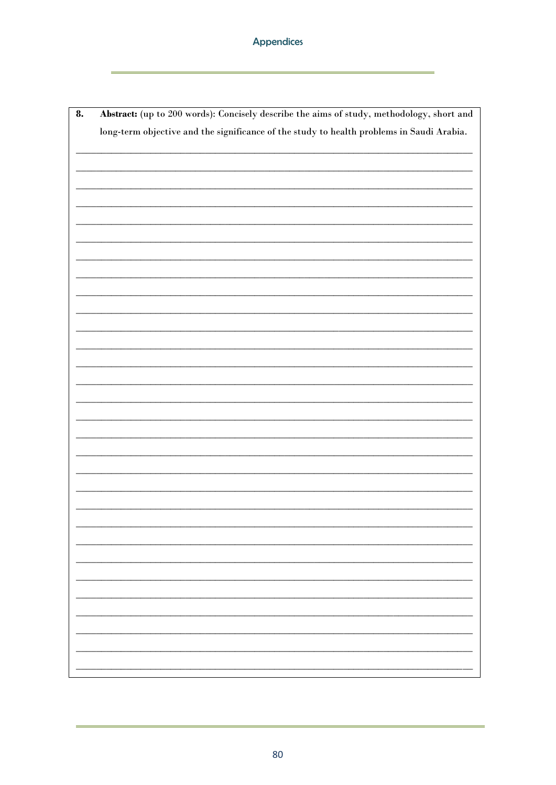| 8. | Abstract: (up to 200 words): Concisely describe the aims of study, methodology, short and |  |  |  |  |  |  |  |  |  |
|----|-------------------------------------------------------------------------------------------|--|--|--|--|--|--|--|--|--|
|    | long-term objective and the significance of the study to health problems in Saudi Arabia. |  |  |  |  |  |  |  |  |  |
|    |                                                                                           |  |  |  |  |  |  |  |  |  |
|    |                                                                                           |  |  |  |  |  |  |  |  |  |
|    |                                                                                           |  |  |  |  |  |  |  |  |  |
|    |                                                                                           |  |  |  |  |  |  |  |  |  |
|    |                                                                                           |  |  |  |  |  |  |  |  |  |
|    |                                                                                           |  |  |  |  |  |  |  |  |  |
|    |                                                                                           |  |  |  |  |  |  |  |  |  |
|    |                                                                                           |  |  |  |  |  |  |  |  |  |
|    |                                                                                           |  |  |  |  |  |  |  |  |  |
|    |                                                                                           |  |  |  |  |  |  |  |  |  |
|    |                                                                                           |  |  |  |  |  |  |  |  |  |
|    |                                                                                           |  |  |  |  |  |  |  |  |  |
|    |                                                                                           |  |  |  |  |  |  |  |  |  |
|    |                                                                                           |  |  |  |  |  |  |  |  |  |
|    |                                                                                           |  |  |  |  |  |  |  |  |  |
|    |                                                                                           |  |  |  |  |  |  |  |  |  |
|    |                                                                                           |  |  |  |  |  |  |  |  |  |
|    |                                                                                           |  |  |  |  |  |  |  |  |  |
|    |                                                                                           |  |  |  |  |  |  |  |  |  |
|    |                                                                                           |  |  |  |  |  |  |  |  |  |
|    |                                                                                           |  |  |  |  |  |  |  |  |  |
|    |                                                                                           |  |  |  |  |  |  |  |  |  |
|    |                                                                                           |  |  |  |  |  |  |  |  |  |
|    |                                                                                           |  |  |  |  |  |  |  |  |  |
|    |                                                                                           |  |  |  |  |  |  |  |  |  |
|    |                                                                                           |  |  |  |  |  |  |  |  |  |
|    |                                                                                           |  |  |  |  |  |  |  |  |  |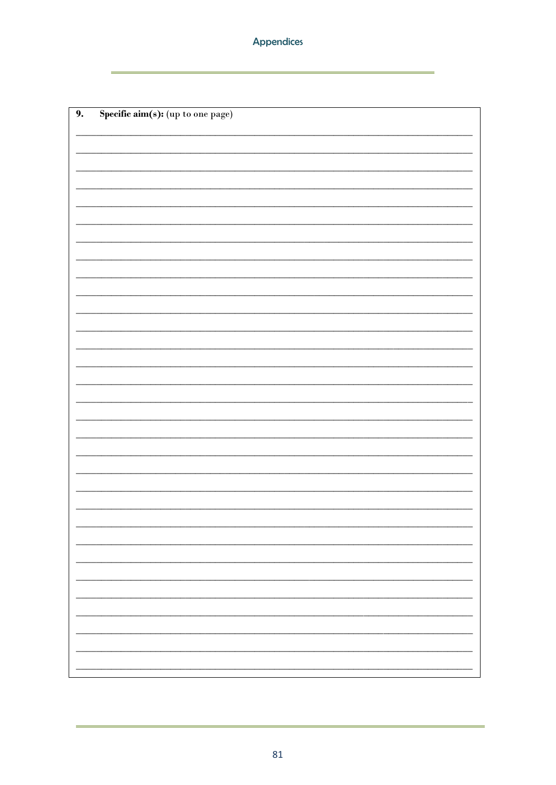| 9. | ${\bf Specific\;aim(s)}: {\small (up\;to\;one\;page)}$ |
|----|--------------------------------------------------------|
|    |                                                        |
|    |                                                        |
|    |                                                        |
|    |                                                        |
|    |                                                        |
|    |                                                        |
|    |                                                        |
|    |                                                        |
|    |                                                        |
|    |                                                        |
|    |                                                        |
|    |                                                        |
|    |                                                        |
|    |                                                        |
|    |                                                        |
|    |                                                        |
|    |                                                        |
|    |                                                        |
|    |                                                        |
|    |                                                        |
|    |                                                        |
|    |                                                        |
|    |                                                        |
|    |                                                        |
|    |                                                        |
|    |                                                        |
|    |                                                        |
|    |                                                        |
|    |                                                        |
|    |                                                        |
|    |                                                        |
|    |                                                        |
|    |                                                        |
|    |                                                        |
|    |                                                        |
|    |                                                        |
|    |                                                        |
|    |                                                        |
|    |                                                        |
|    |                                                        |
|    |                                                        |
|    |                                                        |
|    |                                                        |
|    |                                                        |
|    |                                                        |
|    |                                                        |
|    |                                                        |
|    |                                                        |
|    |                                                        |
|    |                                                        |
|    |                                                        |
|    |                                                        |
|    |                                                        |
|    |                                                        |
|    |                                                        |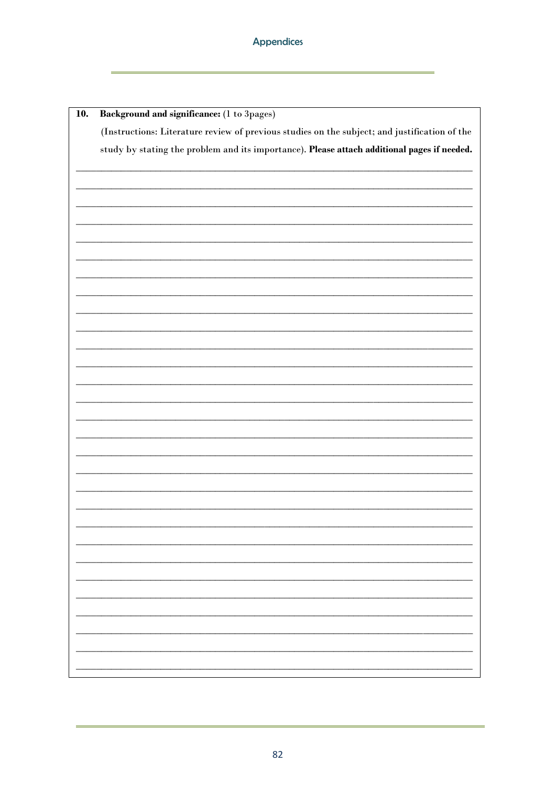| 10. | Background and significance: (1 to 3pages)                                                    |
|-----|-----------------------------------------------------------------------------------------------|
|     | (Instructions: Literature review of previous studies on the subject; and justification of the |
|     | study by stating the problem and its importance). Please attach additional pages if needed.   |
|     |                                                                                               |
|     |                                                                                               |
|     |                                                                                               |
|     |                                                                                               |
|     |                                                                                               |
|     |                                                                                               |
|     |                                                                                               |
|     |                                                                                               |
|     |                                                                                               |
|     |                                                                                               |
|     |                                                                                               |
|     |                                                                                               |
|     |                                                                                               |
|     |                                                                                               |
|     |                                                                                               |
|     |                                                                                               |
|     |                                                                                               |
|     |                                                                                               |
|     |                                                                                               |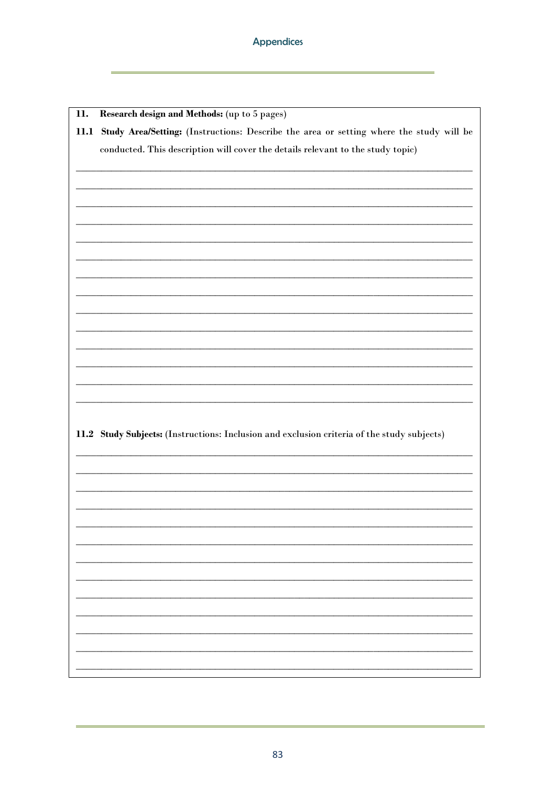$\overline{\mathbf{u}}$ . Research design and Methods: (up to 5 pages) 11.1 Study Area/Setting: (Instructions: Describe the area or setting where the study will be conducted. This description will cover the details relevant to the study topic) 11.2 Study Subjects: (Instructions: Inclusion and exclusion criteria of the study subjects)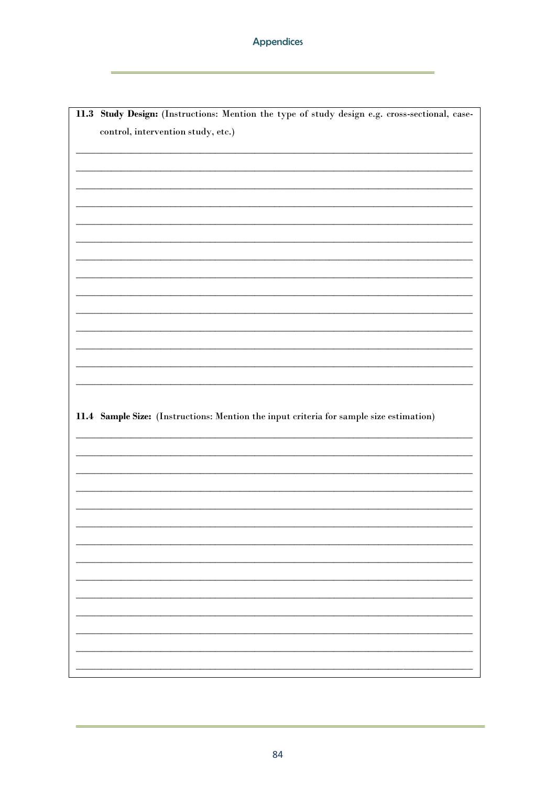11.3 Study Design: (Instructions: Mention the type of study design e.g. cross-sectional, casecontrol, intervention study, etc.) 11.4 Sample Size: (Instructions: Mention the input criteria for sample size estimation)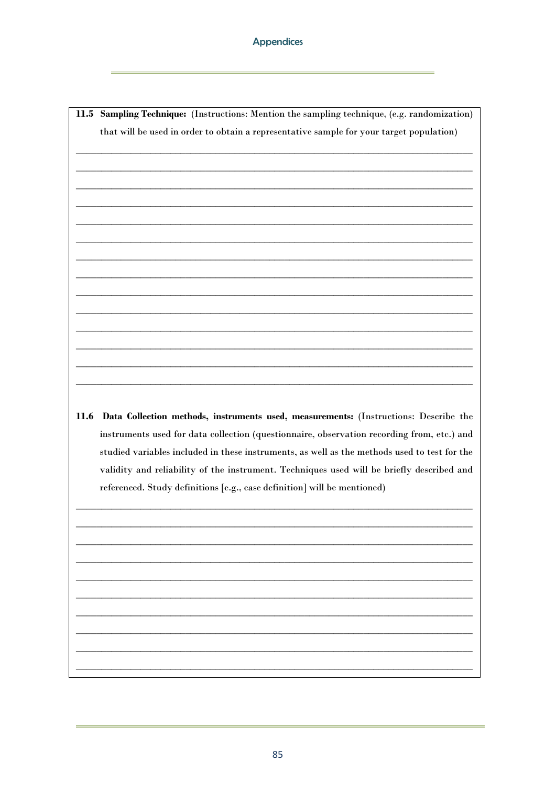11.5 Sampling Technique: (Instructions: Mention the sampling technique, (e.g. randomization) that will be used in order to obtain a representative sample for your target population) 11.6 Data Collection methods, instruments used, measurements: (Instructions: Describe the instruments used for data collection (questionnaire, observation recording from, etc.) and studied variables included in these instruments, as well as the methods used to test for the validity and reliability of the instrument. Techniques used will be briefly described and referenced. Study definitions [e.g., case definition] will be mentioned)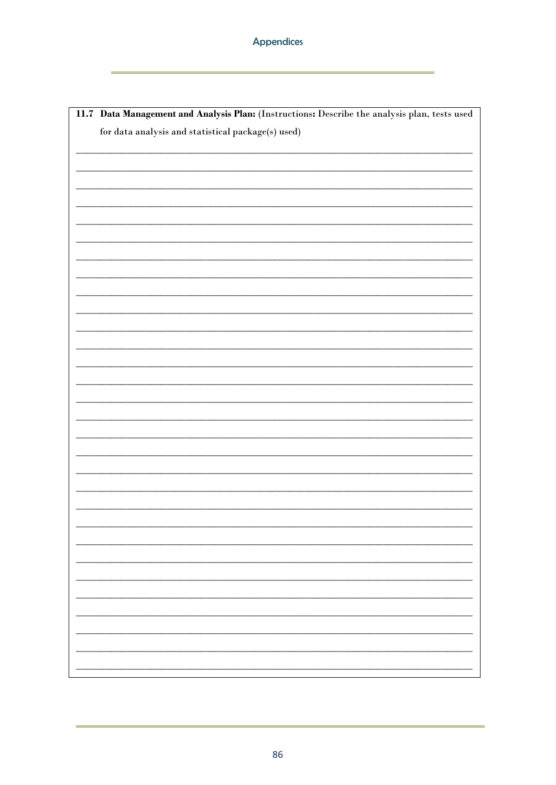| 11.7 Data Management and Analysis Plan: (Instructions: Describe the analysis plan, tests used |
|-----------------------------------------------------------------------------------------------|
| for data analysis and statistical package(s) used)                                            |
|                                                                                               |
|                                                                                               |
|                                                                                               |
|                                                                                               |
|                                                                                               |
|                                                                                               |
|                                                                                               |
|                                                                                               |
|                                                                                               |
|                                                                                               |
|                                                                                               |
|                                                                                               |
|                                                                                               |
|                                                                                               |
|                                                                                               |
|                                                                                               |
|                                                                                               |
|                                                                                               |
|                                                                                               |
|                                                                                               |
|                                                                                               |
|                                                                                               |
|                                                                                               |
|                                                                                               |
|                                                                                               |
|                                                                                               |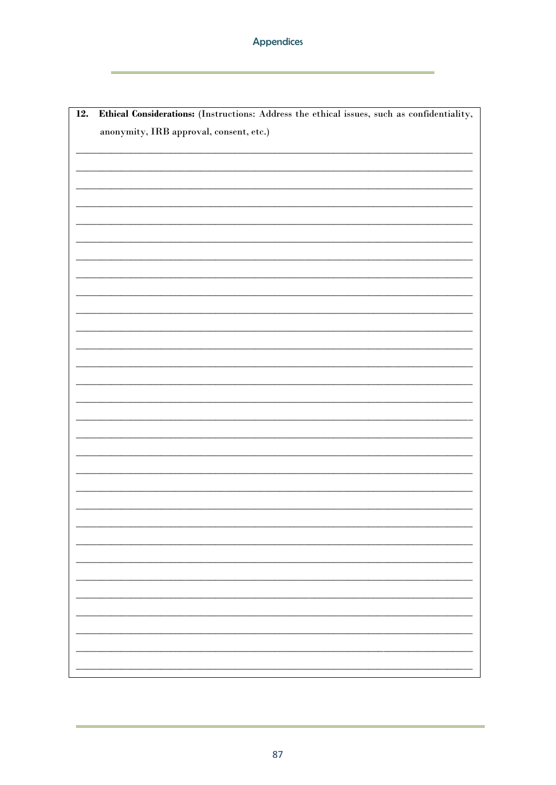| Ethical Considerations: (Instructions: Address the ethical issues, such as confidentiality,<br>$\overline{12}$ . |  |  |  |  |  |  |  |  |  |
|------------------------------------------------------------------------------------------------------------------|--|--|--|--|--|--|--|--|--|
| anonymity, IRB approval, consent, etc.)                                                                          |  |  |  |  |  |  |  |  |  |
|                                                                                                                  |  |  |  |  |  |  |  |  |  |
|                                                                                                                  |  |  |  |  |  |  |  |  |  |
|                                                                                                                  |  |  |  |  |  |  |  |  |  |
|                                                                                                                  |  |  |  |  |  |  |  |  |  |
|                                                                                                                  |  |  |  |  |  |  |  |  |  |
|                                                                                                                  |  |  |  |  |  |  |  |  |  |
|                                                                                                                  |  |  |  |  |  |  |  |  |  |
|                                                                                                                  |  |  |  |  |  |  |  |  |  |
|                                                                                                                  |  |  |  |  |  |  |  |  |  |
|                                                                                                                  |  |  |  |  |  |  |  |  |  |
|                                                                                                                  |  |  |  |  |  |  |  |  |  |
|                                                                                                                  |  |  |  |  |  |  |  |  |  |
|                                                                                                                  |  |  |  |  |  |  |  |  |  |
|                                                                                                                  |  |  |  |  |  |  |  |  |  |
|                                                                                                                  |  |  |  |  |  |  |  |  |  |
|                                                                                                                  |  |  |  |  |  |  |  |  |  |
|                                                                                                                  |  |  |  |  |  |  |  |  |  |
|                                                                                                                  |  |  |  |  |  |  |  |  |  |
|                                                                                                                  |  |  |  |  |  |  |  |  |  |
|                                                                                                                  |  |  |  |  |  |  |  |  |  |
|                                                                                                                  |  |  |  |  |  |  |  |  |  |
|                                                                                                                  |  |  |  |  |  |  |  |  |  |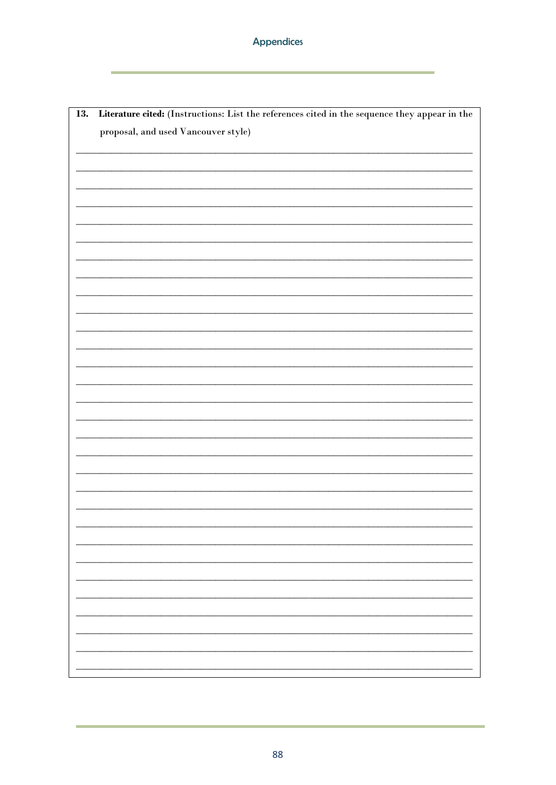| Literature cited: (Instructions: List the references cited in the sequence they appear in the<br>13. |  |  |  |  |  |  |  |  |  |
|------------------------------------------------------------------------------------------------------|--|--|--|--|--|--|--|--|--|
| proposal, and used Vancouver style)                                                                  |  |  |  |  |  |  |  |  |  |
|                                                                                                      |  |  |  |  |  |  |  |  |  |
|                                                                                                      |  |  |  |  |  |  |  |  |  |
|                                                                                                      |  |  |  |  |  |  |  |  |  |
|                                                                                                      |  |  |  |  |  |  |  |  |  |
|                                                                                                      |  |  |  |  |  |  |  |  |  |
|                                                                                                      |  |  |  |  |  |  |  |  |  |
|                                                                                                      |  |  |  |  |  |  |  |  |  |
|                                                                                                      |  |  |  |  |  |  |  |  |  |
|                                                                                                      |  |  |  |  |  |  |  |  |  |
|                                                                                                      |  |  |  |  |  |  |  |  |  |
|                                                                                                      |  |  |  |  |  |  |  |  |  |
|                                                                                                      |  |  |  |  |  |  |  |  |  |
|                                                                                                      |  |  |  |  |  |  |  |  |  |
|                                                                                                      |  |  |  |  |  |  |  |  |  |
|                                                                                                      |  |  |  |  |  |  |  |  |  |
|                                                                                                      |  |  |  |  |  |  |  |  |  |
|                                                                                                      |  |  |  |  |  |  |  |  |  |
|                                                                                                      |  |  |  |  |  |  |  |  |  |
|                                                                                                      |  |  |  |  |  |  |  |  |  |
|                                                                                                      |  |  |  |  |  |  |  |  |  |
|                                                                                                      |  |  |  |  |  |  |  |  |  |
|                                                                                                      |  |  |  |  |  |  |  |  |  |
|                                                                                                      |  |  |  |  |  |  |  |  |  |
|                                                                                                      |  |  |  |  |  |  |  |  |  |
|                                                                                                      |  |  |  |  |  |  |  |  |  |
|                                                                                                      |  |  |  |  |  |  |  |  |  |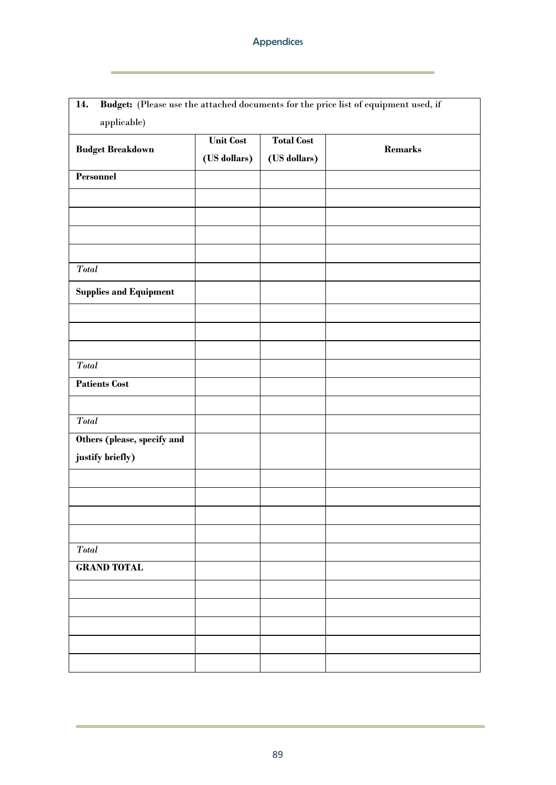| 14.                           |                                  |                                   | Budget: (Please use the attached documents for the price list of equipment used, if |
|-------------------------------|----------------------------------|-----------------------------------|-------------------------------------------------------------------------------------|
| applicable)                   |                                  |                                   |                                                                                     |
| <b>Budget Breakdown</b>       | <b>Unit Cost</b><br>(US dollars) | <b>Total Cost</b><br>(US dollars) | <b>Remarks</b>                                                                      |
| Personnel                     |                                  |                                   |                                                                                     |
|                               |                                  |                                   |                                                                                     |
|                               |                                  |                                   |                                                                                     |
|                               |                                  |                                   |                                                                                     |
|                               |                                  |                                   |                                                                                     |
| <b>Total</b>                  |                                  |                                   |                                                                                     |
| <b>Supplies and Equipment</b> |                                  |                                   |                                                                                     |
|                               |                                  |                                   |                                                                                     |
|                               |                                  |                                   |                                                                                     |
|                               |                                  |                                   |                                                                                     |
| <b>Total</b>                  |                                  |                                   |                                                                                     |
| <b>Patients Cost</b>          |                                  |                                   |                                                                                     |
|                               |                                  |                                   |                                                                                     |
| <b>Total</b>                  |                                  |                                   |                                                                                     |
| Others (please, specify and   |                                  |                                   |                                                                                     |
| justify briefly)              |                                  |                                   |                                                                                     |
|                               |                                  |                                   |                                                                                     |
|                               |                                  |                                   |                                                                                     |
|                               |                                  |                                   |                                                                                     |
|                               |                                  |                                   |                                                                                     |
| <b>Total</b>                  |                                  |                                   |                                                                                     |
| <b>GRAND TOTAL</b>            |                                  |                                   |                                                                                     |
|                               |                                  |                                   |                                                                                     |
|                               |                                  |                                   |                                                                                     |
|                               |                                  |                                   |                                                                                     |
|                               |                                  |                                   |                                                                                     |
|                               |                                  |                                   |                                                                                     |